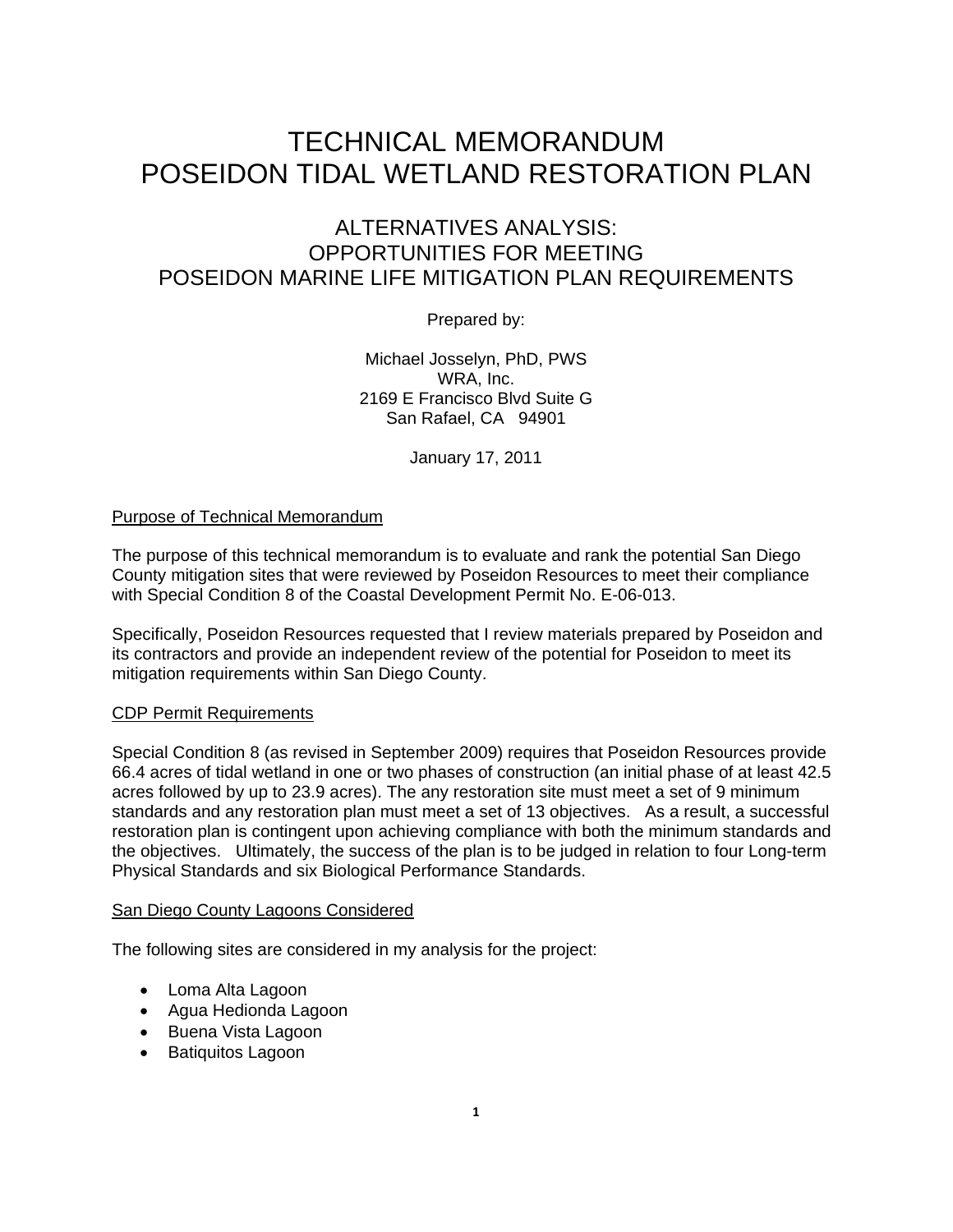# TECHNICAL MEMORANDUM POSEIDON TIDAL WETLAND RESTORATION PLAN

## ALTERNATIVES ANALYSIS: OPPORTUNITIES FOR MEETING POSEIDON MARINE LIFE MITIGATION PLAN REQUIREMENTS

Prepared by:

Michael Josselyn, PhD, PWS WRA, Inc. 2169 E Francisco Blvd Suite G San Rafael, CA 94901

January 17, 2011

### Purpose of Technical Memorandum

The purpose of this technical memorandum is to evaluate and rank the potential San Diego County mitigation sites that were reviewed by Poseidon Resources to meet their compliance with Special Condition 8 of the Coastal Development Permit No. E-06-013.

Specifically, Poseidon Resources requested that I review materials prepared by Poseidon and its contractors and provide an independent review of the potential for Poseidon to meet its mitigation requirements within San Diego County.

#### CDP Permit Requirements

Special Condition 8 (as revised in September 2009) requires that Poseidon Resources provide 66.4 acres of tidal wetland in one or two phases of construction (an initial phase of at least 42.5 acres followed by up to 23.9 acres). The any restoration site must meet a set of 9 minimum standards and any restoration plan must meet a set of 13 objectives. As a result, a successful restoration plan is contingent upon achieving compliance with both the minimum standards and the objectives. Ultimately, the success of the plan is to be judged in relation to four Long-term Physical Standards and six Biological Performance Standards.

#### San Diego County Lagoons Considered

The following sites are considered in my analysis for the project:

- Loma Alta Lagoon
- Agua Hedionda Lagoon
- Buena Vista Lagoon
- Batiquitos Lagoon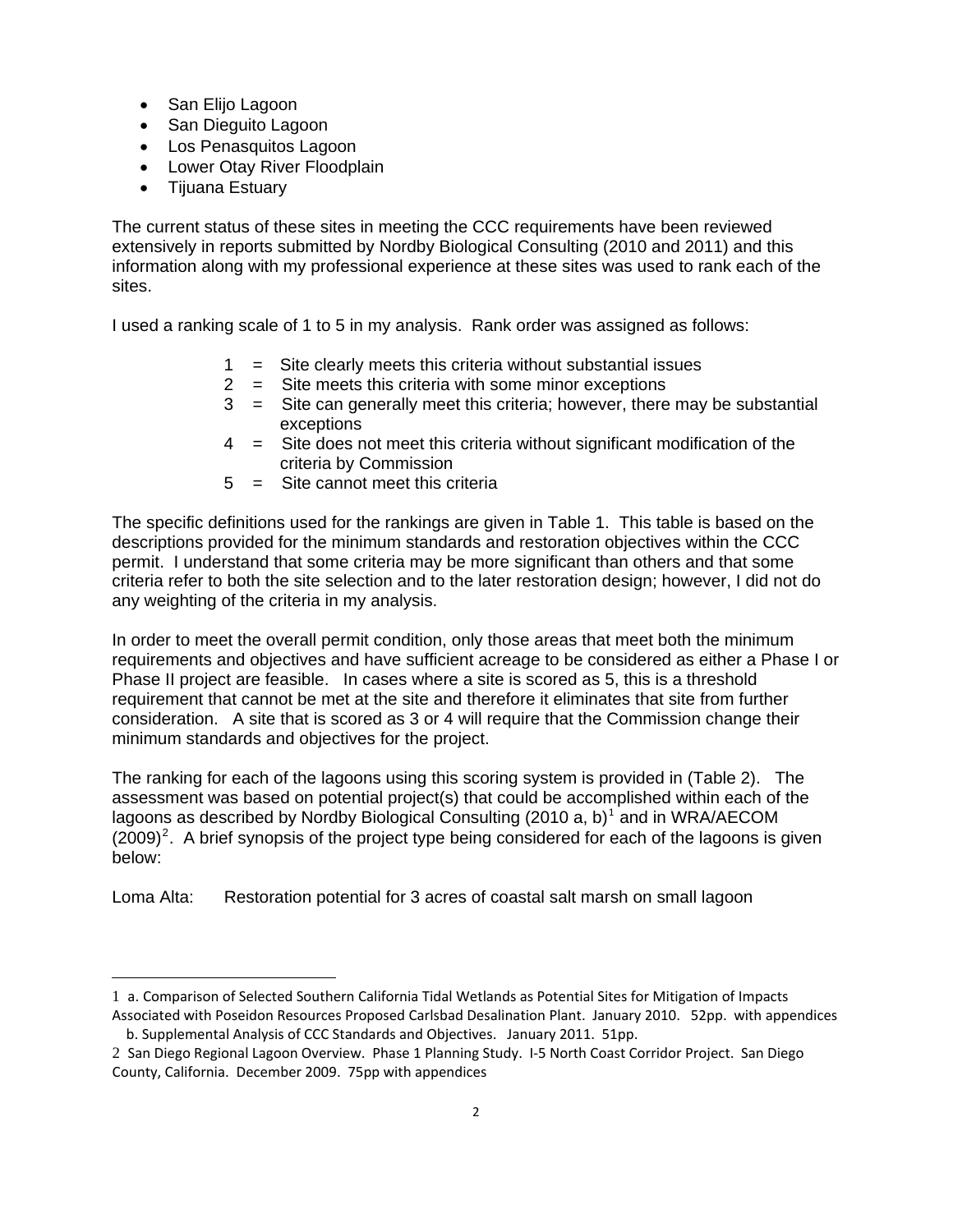- San Elijo Lagoon
- San Dieguito Lagoon
- Los Penasquitos Lagoon
- Lower Otay River Floodplain
- Tijuana Estuary

 $\overline{a}$ 

The current status of these sites in meeting the CCC requirements have been reviewed extensively in reports submitted by Nordby Biological Consulting (2010 and 2011) and this information along with my professional experience at these sites was used to rank each of the sites.

I used a ranking scale of 1 to 5 in my analysis. Rank order was assigned as follows:

- 1 = Site clearly meets this criteria without substantial issues
- 2 = Site meets this criteria with some minor exceptions
- 3 = Site can generally meet this criteria; however, there may be substantial exceptions
- 4 = Site does not meet this criteria without significant modification of the criteria by Commission
- 5 = Site cannot meet this criteria

The specific definitions used for the rankings are given in Table 1. This table is based on the descriptions provided for the minimum standards and restoration objectives within the CCC permit. I understand that some criteria may be more significant than others and that some criteria refer to both the site selection and to the later restoration design; however, I did not do any weighting of the criteria in my analysis.

In order to meet the overall permit condition, only those areas that meet both the minimum requirements and objectives and have sufficient acreage to be considered as either a Phase I or Phase II project are feasible. In cases where a site is scored as 5, this is a threshold requirement that cannot be met at the site and therefore it eliminates that site from further consideration. A site that is scored as 3 or 4 will require that the Commission change their minimum standards and objectives for the project.

The ranking for each of the lagoons using this scoring system is provided in (Table 2). The assessment was based on potential project(s) that could be accomplished within each of the lagoons as described by Nordby Biological Consulting (20[1](#page-1-0)0 a, b)<sup>1</sup> and in WRA/AECOM  $(2009)^2$  $(2009)^2$  $(2009)^2$ . A brief synopsis of the project type being considered for each of the lagoons is given below:

Loma Alta: Restoration potential for 3 acres of coastal salt marsh on small lagoon

<span id="page-1-0"></span><sup>1</sup> a. Comparison of Selected Southern California Tidal Wetlands as Potential Sites for Mitigation of Impacts Associated with Poseidon Resources Proposed Carlsbad Desalination Plant. January 2010. 52pp. with appendices

b. Supplemental Analysis of CCC Standards and Objectives. January 2011. 51pp.

<span id="page-1-1"></span><sup>2</sup> San Diego Regional Lagoon Overview. Phase 1 Planning Study. I‐5 North Coast Corridor Project. San Diego County, California. December 2009. 75pp with appendices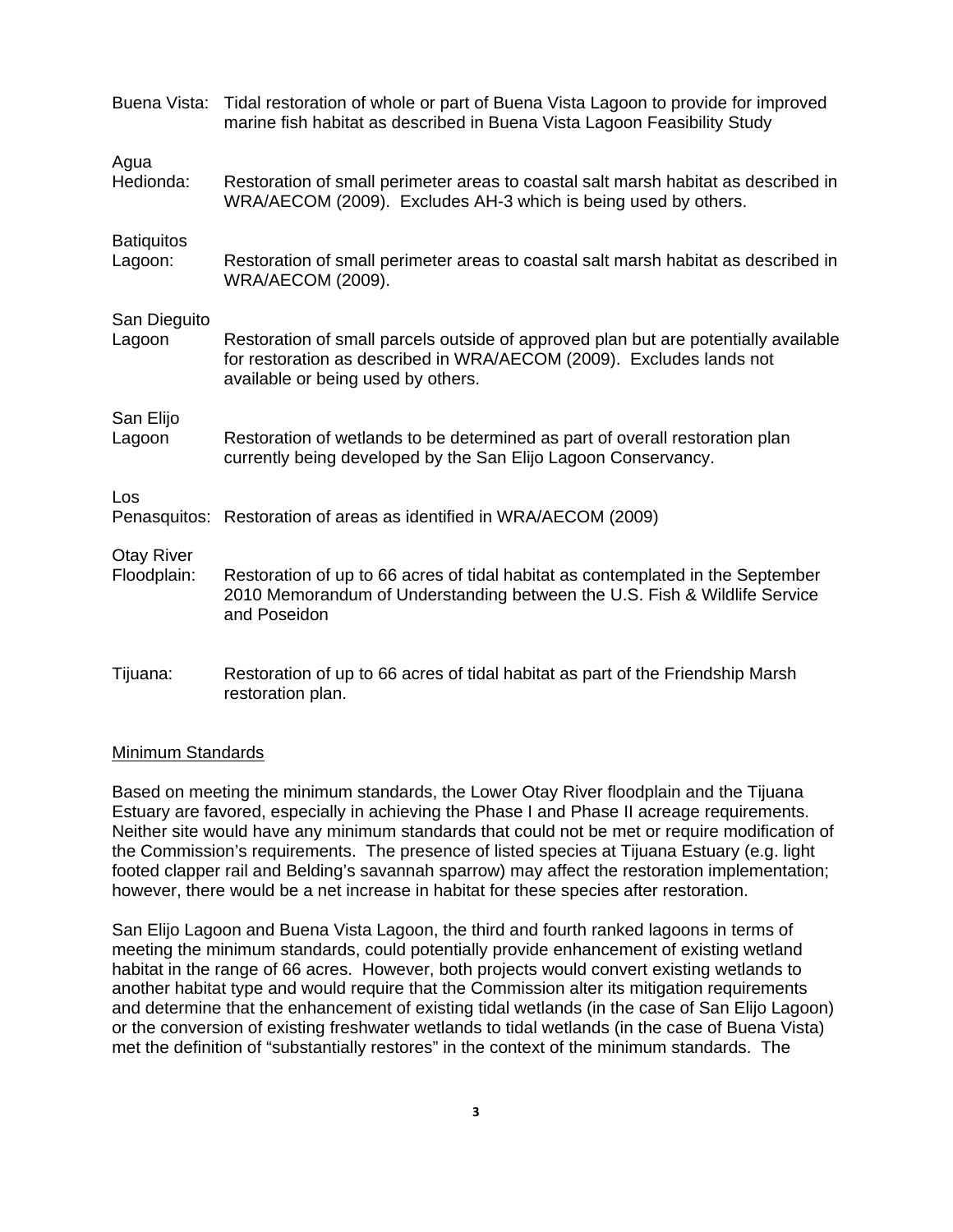| Buena Vista:                     | Tidal restoration of whole or part of Buena Vista Lagoon to provide for improved<br>marine fish habitat as described in Buena Vista Lagoon Feasibility Study                                      |
|----------------------------------|---------------------------------------------------------------------------------------------------------------------------------------------------------------------------------------------------|
| Agua<br>Hedionda:                | Restoration of small perimeter areas to coastal salt marsh habitat as described in<br>WRA/AECOM (2009). Excludes AH-3 which is being used by others.                                              |
| <b>Batiquitos</b><br>Lagoon:     | Restoration of small perimeter areas to coastal salt marsh habitat as described in<br><b>WRA/AECOM (2009).</b>                                                                                    |
| San Dieguito<br>Lagoon           | Restoration of small parcels outside of approved plan but are potentially available<br>for restoration as described in WRA/AECOM (2009). Excludes lands not<br>available or being used by others. |
| San Elijo<br>Lagoon              | Restoration of wetlands to be determined as part of overall restoration plan<br>currently being developed by the San Elijo Lagoon Conservancy.                                                    |
| Los                              | Penasquitos: Restoration of areas as identified in WRA/AECOM (2009)                                                                                                                               |
| <b>Otay River</b><br>Floodplain: | Restoration of up to 66 acres of tidal habitat as contemplated in the September<br>2010 Memorandum of Understanding between the U.S. Fish & Wildlife Service<br>and Poseidon                      |
| Tijuana:                         | Restoration of up to 66 acres of tidal habitat as part of the Friendship Marsh<br>restoration plan.                                                                                               |

#### Minimum Standards

Based on meeting the minimum standards, the Lower Otay River floodplain and the Tijuana Estuary are favored, especially in achieving the Phase I and Phase II acreage requirements. Neither site would have any minimum standards that could not be met or require modification of the Commission's requirements. The presence of listed species at Tijuana Estuary (e.g. light footed clapper rail and Belding's savannah sparrow) may affect the restoration implementation; however, there would be a net increase in habitat for these species after restoration.

San Elijo Lagoon and Buena Vista Lagoon, the third and fourth ranked lagoons in terms of meeting the minimum standards, could potentially provide enhancement of existing wetland habitat in the range of 66 acres. However, both projects would convert existing wetlands to another habitat type and would require that the Commission alter its mitigation requirements and determine that the enhancement of existing tidal wetlands (in the case of San Elijo Lagoon) or the conversion of existing freshwater wetlands to tidal wetlands (in the case of Buena Vista) met the definition of "substantially restores" in the context of the minimum standards. The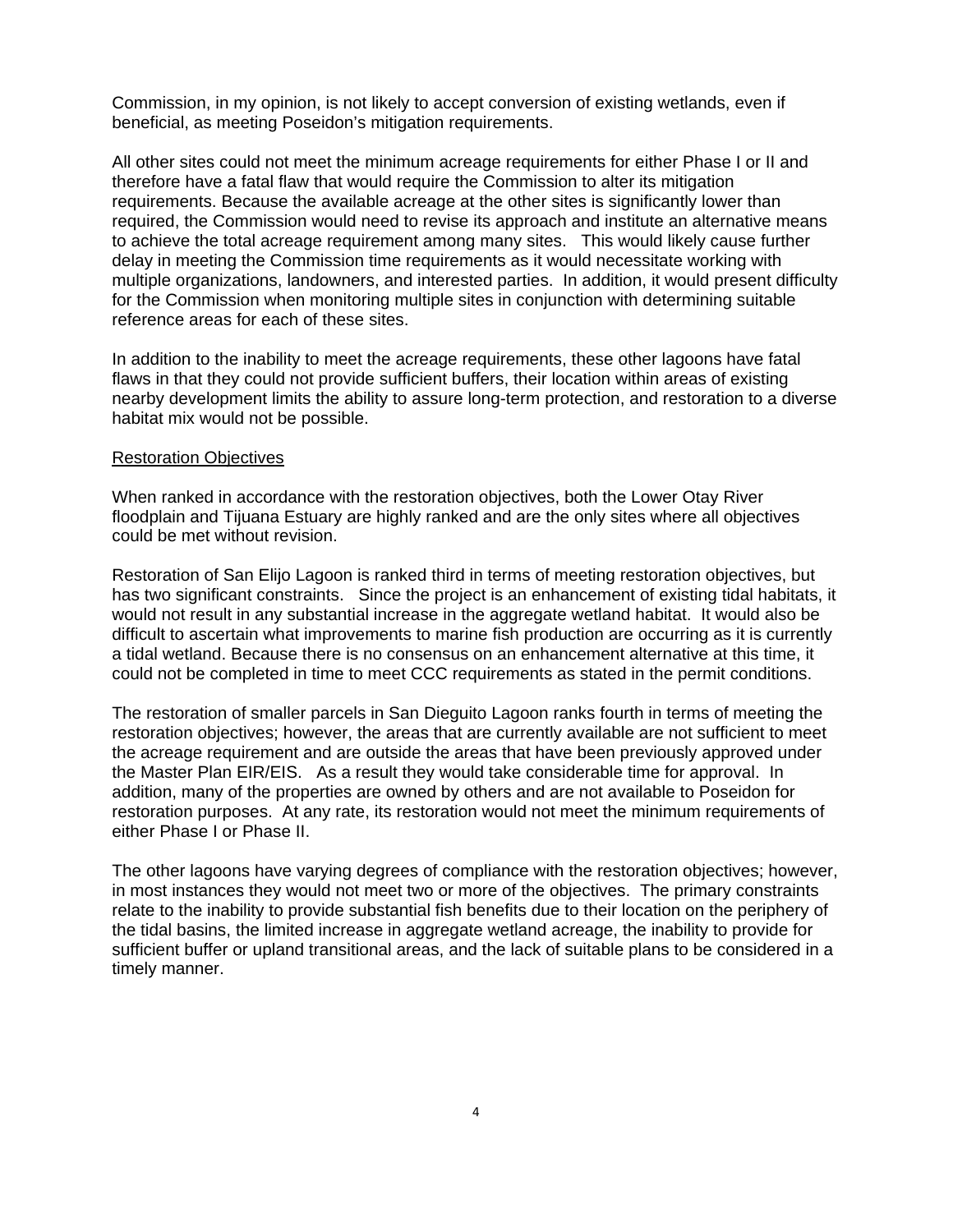Commission, in my opinion, is not likely to accept conversion of existing wetlands, even if beneficial, as meeting Poseidon's mitigation requirements.

All other sites could not meet the minimum acreage requirements for either Phase I or II and therefore have a fatal flaw that would require the Commission to alter its mitigation requirements. Because the available acreage at the other sites is significantly lower than required, the Commission would need to revise its approach and institute an alternative means to achieve the total acreage requirement among many sites. This would likely cause further delay in meeting the Commission time requirements as it would necessitate working with multiple organizations, landowners, and interested parties. In addition, it would present difficulty for the Commission when monitoring multiple sites in conjunction with determining suitable reference areas for each of these sites.

In addition to the inability to meet the acreage requirements, these other lagoons have fatal flaws in that they could not provide sufficient buffers, their location within areas of existing nearby development limits the ability to assure long-term protection, and restoration to a diverse habitat mix would not be possible.

#### Restoration Objectives

When ranked in accordance with the restoration objectives, both the Lower Otay River floodplain and Tijuana Estuary are highly ranked and are the only sites where all objectives could be met without revision.

Restoration of San Elijo Lagoon is ranked third in terms of meeting restoration objectives, but has two significant constraints. Since the project is an enhancement of existing tidal habitats, it would not result in any substantial increase in the aggregate wetland habitat. It would also be difficult to ascertain what improvements to marine fish production are occurring as it is currently a tidal wetland. Because there is no consensus on an enhancement alternative at this time, it could not be completed in time to meet CCC requirements as stated in the permit conditions.

The restoration of smaller parcels in San Dieguito Lagoon ranks fourth in terms of meeting the restoration objectives; however, the areas that are currently available are not sufficient to meet the acreage requirement and are outside the areas that have been previously approved under the Master Plan EIR/EIS. As a result they would take considerable time for approval. In addition, many of the properties are owned by others and are not available to Poseidon for restoration purposes. At any rate, its restoration would not meet the minimum requirements of either Phase I or Phase II.

The other lagoons have varying degrees of compliance with the restoration objectives; however, in most instances they would not meet two or more of the objectives. The primary constraints relate to the inability to provide substantial fish benefits due to their location on the periphery of the tidal basins, the limited increase in aggregate wetland acreage, the inability to provide for sufficient buffer or upland transitional areas, and the lack of suitable plans to be considered in a timely manner.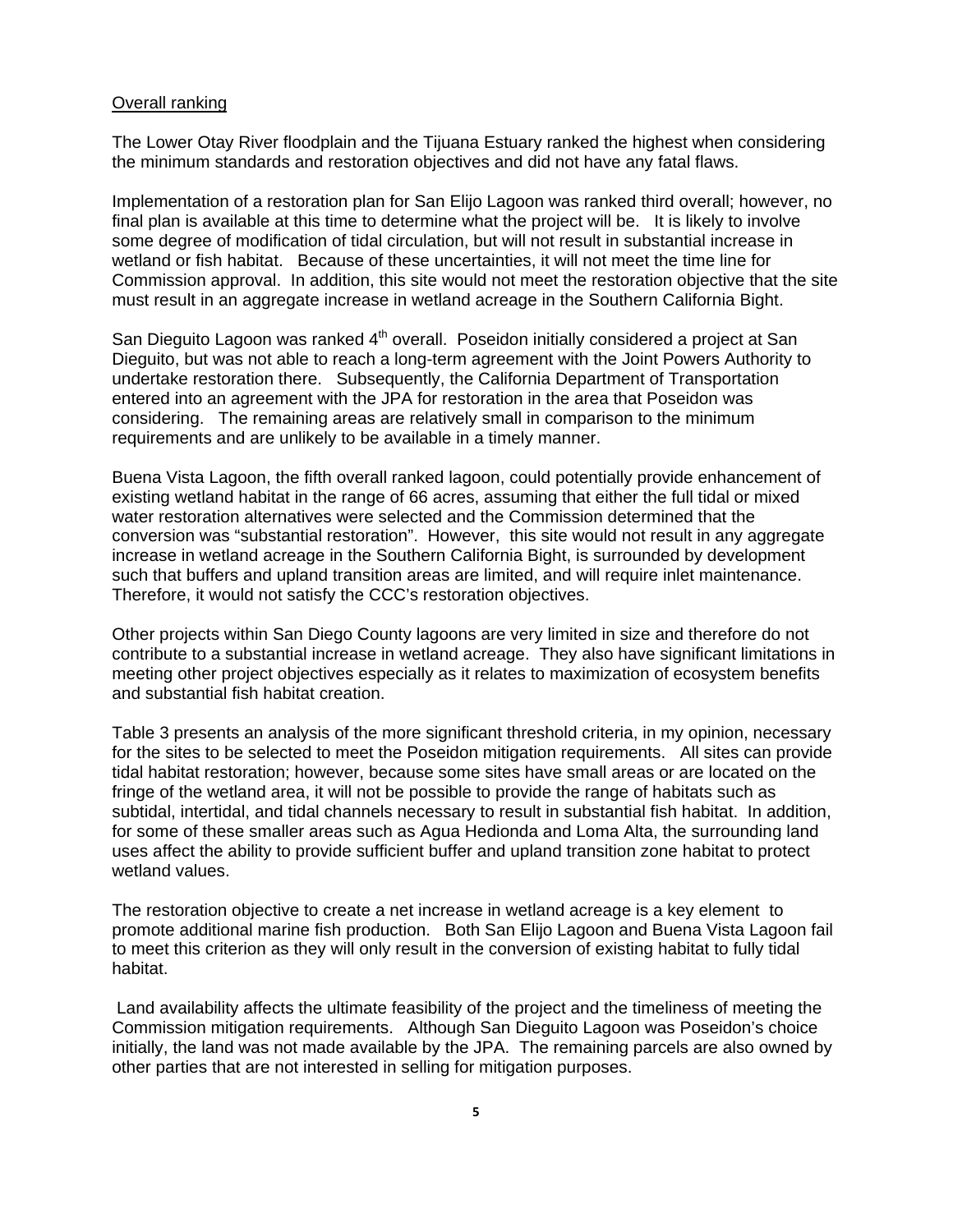#### Overall ranking

The Lower Otay River floodplain and the Tijuana Estuary ranked the highest when considering the minimum standards and restoration objectives and did not have any fatal flaws.

Implementation of a restoration plan for San Elijo Lagoon was ranked third overall; however, no final plan is available at this time to determine what the project will be. It is likely to involve some degree of modification of tidal circulation, but will not result in substantial increase in wetland or fish habitat. Because of these uncertainties, it will not meet the time line for Commission approval. In addition, this site would not meet the restoration objective that the site must result in an aggregate increase in wetland acreage in the Southern California Bight.

San Dieguito Lagoon was ranked 4<sup>th</sup> overall. Poseidon initially considered a project at San Dieguito, but was not able to reach a long-term agreement with the Joint Powers Authority to undertake restoration there. Subsequently, the California Department of Transportation entered into an agreement with the JPA for restoration in the area that Poseidon was considering. The remaining areas are relatively small in comparison to the minimum requirements and are unlikely to be available in a timely manner.

Buena Vista Lagoon, the fifth overall ranked lagoon, could potentially provide enhancement of existing wetland habitat in the range of 66 acres, assuming that either the full tidal or mixed water restoration alternatives were selected and the Commission determined that the conversion was "substantial restoration". However, this site would not result in any aggregate increase in wetland acreage in the Southern California Bight, is surrounded by development such that buffers and upland transition areas are limited, and will require inlet maintenance. Therefore, it would not satisfy the CCC's restoration objectives.

Other projects within San Diego County lagoons are very limited in size and therefore do not contribute to a substantial increase in wetland acreage. They also have significant limitations in meeting other project objectives especially as it relates to maximization of ecosystem benefits and substantial fish habitat creation.

Table 3 presents an analysis of the more significant threshold criteria, in my opinion, necessary for the sites to be selected to meet the Poseidon mitigation requirements. All sites can provide tidal habitat restoration; however, because some sites have small areas or are located on the fringe of the wetland area, it will not be possible to provide the range of habitats such as subtidal, intertidal, and tidal channels necessary to result in substantial fish habitat. In addition, for some of these smaller areas such as Agua Hedionda and Loma Alta, the surrounding land uses affect the ability to provide sufficient buffer and upland transition zone habitat to protect wetland values.

The restoration objective to create a net increase in wetland acreage is a key element to promote additional marine fish production. Both San Elijo Lagoon and Buena Vista Lagoon fail to meet this criterion as they will only result in the conversion of existing habitat to fully tidal habitat.

 Land availability affects the ultimate feasibility of the project and the timeliness of meeting the Commission mitigation requirements. Although San Dieguito Lagoon was Poseidon's choice initially, the land was not made available by the JPA. The remaining parcels are also owned by other parties that are not interested in selling for mitigation purposes.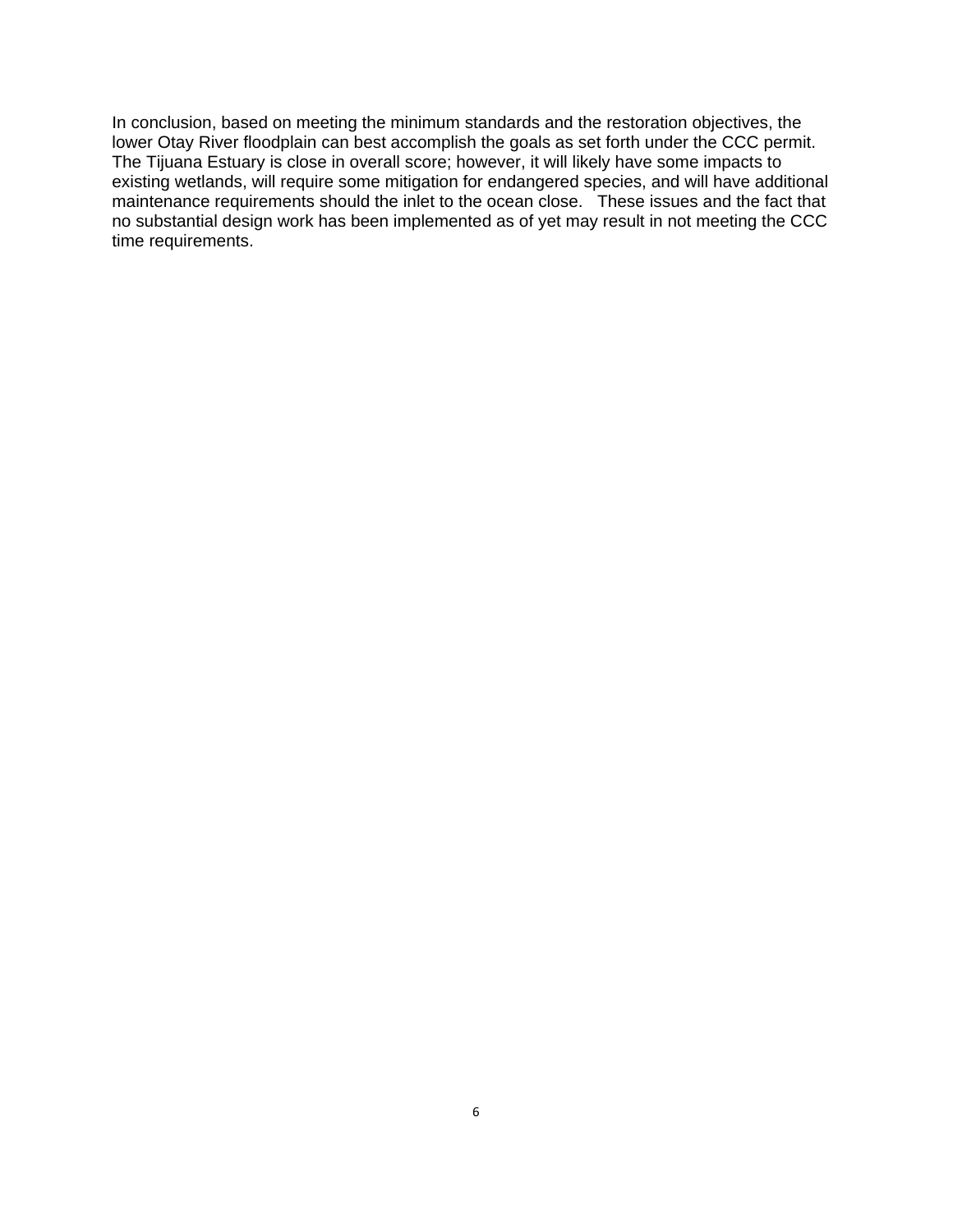In conclusion, based on meeting the minimum standards and the restoration objectives, the lower Otay River floodplain can best accomplish the goals as set forth under the CCC permit. The Tijuana Estuary is close in overall score; however, it will likely have some impacts to existing wetlands, will require some mitigation for endangered species, and will have additional maintenance requirements should the inlet to the ocean close. These issues and the fact that no substantial design work has been implemented as of yet may result in not meeting the CCC time requirements.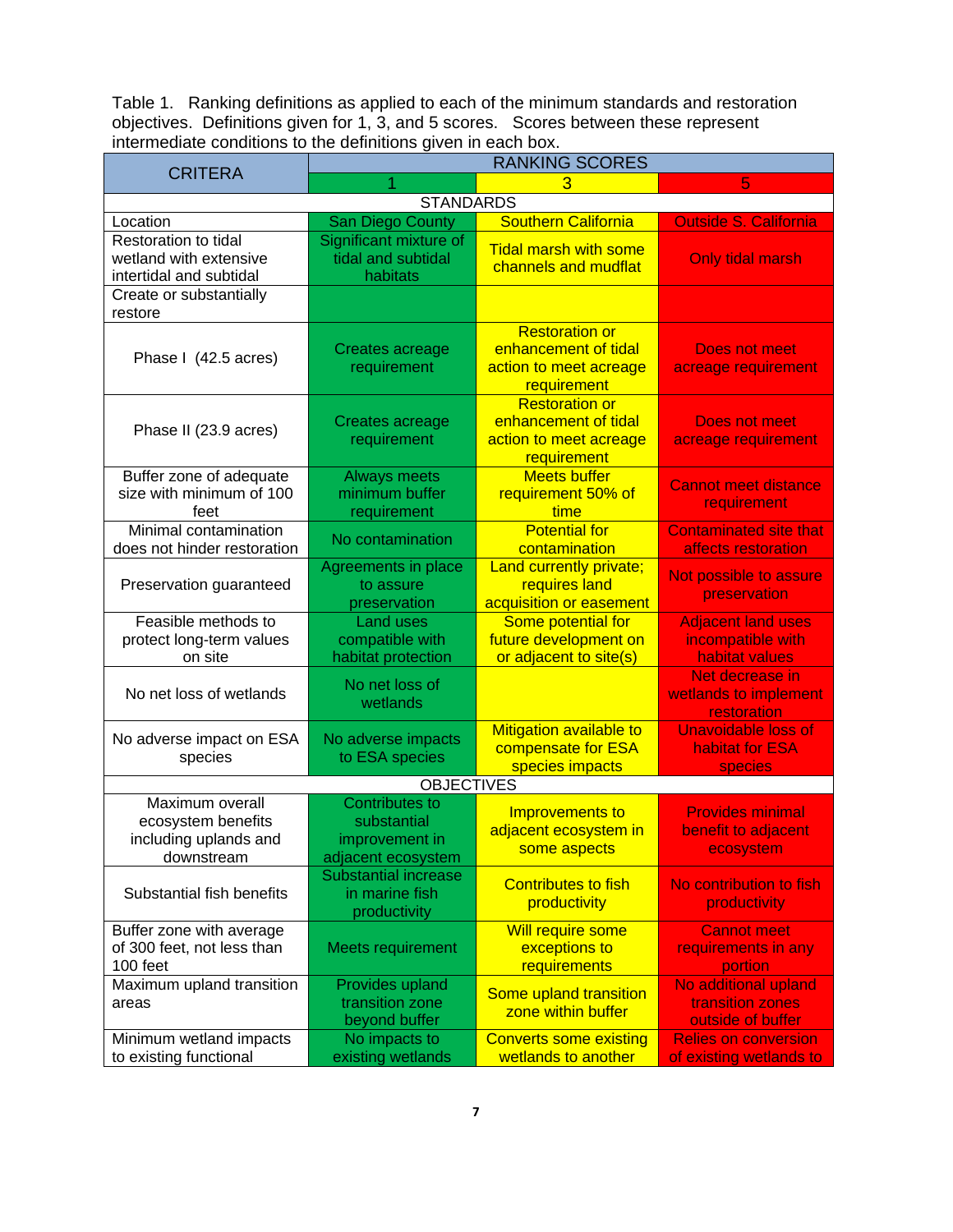Table 1. Ranking definitions as applied to each of the minimum standards and restoration objectives. Definitions given for 1, 3, and 5 scores. Scores between these represent intermediate conditions to the definitions given in each box.

| <b>CRITERA</b>                                                               | <b>RANKING SCORES</b>                                                        |                                                                                        |                                                                  |  |  |  |
|------------------------------------------------------------------------------|------------------------------------------------------------------------------|----------------------------------------------------------------------------------------|------------------------------------------------------------------|--|--|--|
|                                                                              |                                                                              | 5                                                                                      |                                                                  |  |  |  |
|                                                                              | <b>STANDARDS</b>                                                             |                                                                                        |                                                                  |  |  |  |
| Location                                                                     | San Diego County                                                             | <b>Southern California</b>                                                             | <b>Outside S. California</b>                                     |  |  |  |
| Restoration to tidal<br>wetland with extensive<br>intertidal and subtidal    | Significant mixture of<br>tidal and subtidal<br>habitats                     | <b>Tidal marsh with some</b><br>channels and mudflat                                   | <b>Only tidal marsh</b>                                          |  |  |  |
| Create or substantially<br>restore                                           |                                                                              |                                                                                        |                                                                  |  |  |  |
| Phase I (42.5 acres)                                                         | Creates acreage<br>requirement                                               | <b>Restoration or</b><br>enhancement of tidal<br>action to meet acreage<br>requirement | <b>Does not meet</b><br>acreage requirement                      |  |  |  |
| Phase II (23.9 acres)                                                        | Creates acreage<br>requirement                                               | <b>Restoration or</b><br>enhancement of tidal<br>action to meet acreage<br>requirement | <b>Does not meet</b><br>acreage requirement                      |  |  |  |
| Buffer zone of adequate<br>size with minimum of 100<br>feet                  | <b>Always meets</b><br>minimum buffer<br>requirement                         | <b>Meets buffer</b><br>requirement 50% of<br>time                                      | <b>Cannot meet distance</b><br>requirement                       |  |  |  |
| Minimal contamination<br>does not hinder restoration                         | No contamination                                                             | <b>Potential for</b><br>contamination                                                  | <b>Contaminated site that</b><br>affects restoration             |  |  |  |
| Preservation guaranteed                                                      | Agreements in place<br>to assure<br>preservation                             | Land currently private;<br>requires land<br>acquisition or easement                    | Not possible to assure<br>preservation                           |  |  |  |
| Feasible methods to<br>protect long-term values<br>on site                   | <b>Land uses</b><br>compatible with<br>habitat protection                    | Some potential for<br>future development on<br>or adjacent to site(s)                  | <b>Adjacent land uses</b><br>incompatible with<br>habitat values |  |  |  |
| No net loss of wetlands                                                      | No net loss of<br>wetlands                                                   |                                                                                        | Net decrease in<br>wetlands to implement<br>restoration          |  |  |  |
| No adverse impact on ESA<br>species                                          | No adverse impacts<br>to ESA species                                         | Mitigation available to<br>compensate for ESA<br>species impacts                       | <b>Unavoidable loss of</b><br>habitat for ESA<br><b>species</b>  |  |  |  |
|                                                                              | <b>OBJECTIVES</b>                                                            |                                                                                        |                                                                  |  |  |  |
| Maximum overall<br>ecosystem benefits<br>including uplands and<br>downstream | <b>Contributes to</b><br>substantial<br>improvement in<br>adjacent ecosystem | Improvements to<br>adjacent ecosystem in<br>some aspects                               | <b>Provides minimal</b><br>benefit to adjacent<br>ecosystem      |  |  |  |
| Substantial fish benefits                                                    | <b>Substantial increase</b><br>in marine fish<br>productivity                | <b>Contributes to fish</b><br>productivity                                             | No contribution to fish<br>productivity                          |  |  |  |
| Buffer zone with average<br>of 300 feet, not less than<br>100 feet           | Meets requirement                                                            | <b>Will require some</b><br>exceptions to<br>requirements                              | <b>Cannot meet</b><br>requirements in any<br>portion             |  |  |  |
| Maximum upland transition<br>areas                                           | Provides upland<br>transition zone<br>beyond buffer                          | Some upland transition<br>zone within buffer                                           | No additional upland<br>transition zones<br>outside of buffer    |  |  |  |
| Minimum wetland impacts<br>to existing functional                            | No impacts to<br>existing wetlands                                           | <b>Converts some existing</b><br>wetlands to another                                   | <b>Relies on conversion</b><br>of existing wetlands to           |  |  |  |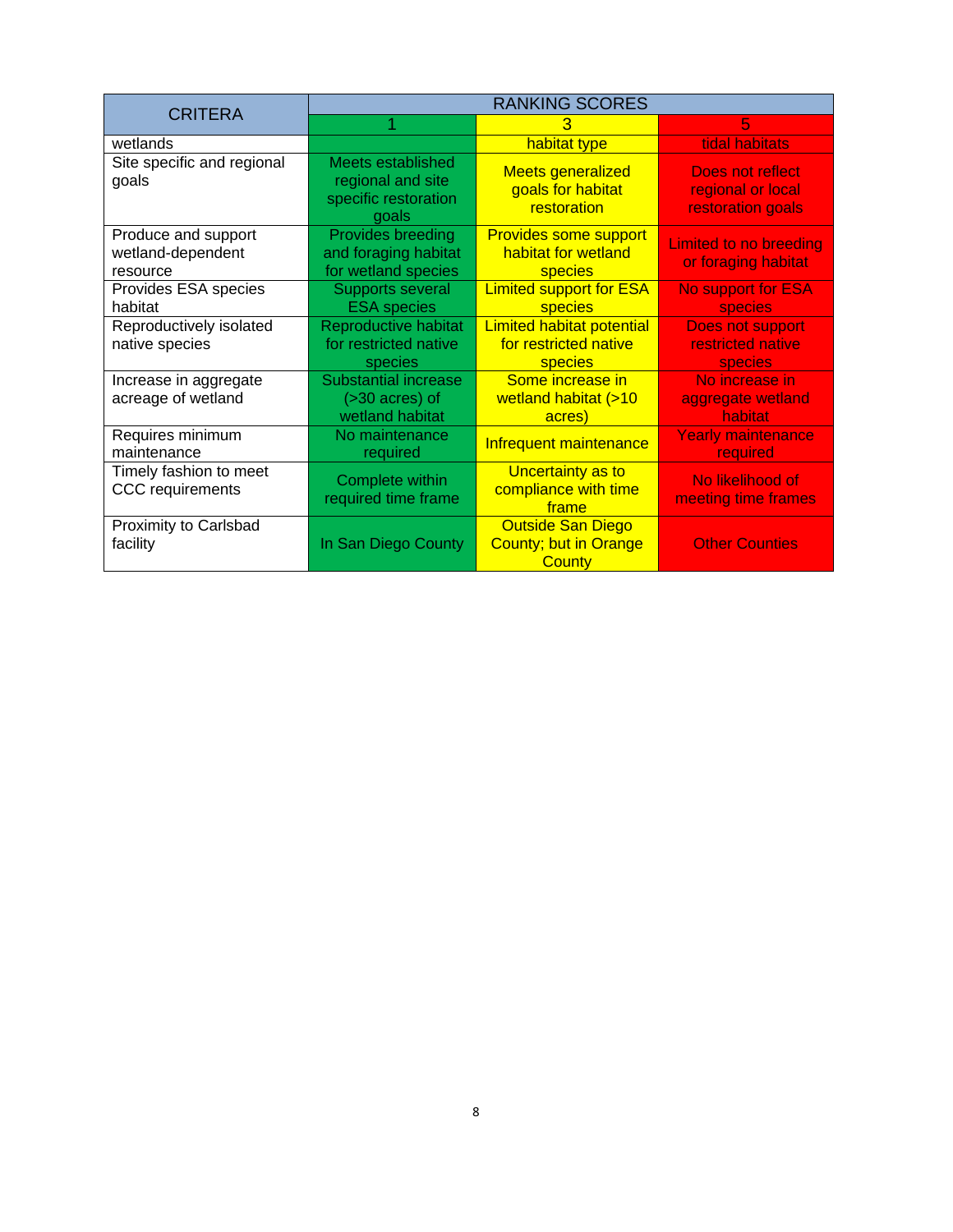| <b>CRITERA</b>                                       | <b>RANKING SCORES</b>                                                   |                                                                           |                                                            |  |  |  |
|------------------------------------------------------|-------------------------------------------------------------------------|---------------------------------------------------------------------------|------------------------------------------------------------|--|--|--|
|                                                      |                                                                         | 3                                                                         | 5                                                          |  |  |  |
| wetlands                                             |                                                                         | habitat type                                                              | tidal habitats                                             |  |  |  |
| Site specific and regional<br>goals                  | Meets established<br>regional and site<br>specific restoration<br>goals | <b>Meets generalized</b><br>goals for habitat<br>restoration              | Does not reflect<br>regional or local<br>restoration goals |  |  |  |
| Produce and support<br>wetland-dependent<br>resource | <b>Provides breeding</b><br>and foraging habitat<br>for wetland species | <b>Provides some support</b><br>habitat for wetland<br>species            | Limited to no breeding<br>or foraging habitat              |  |  |  |
| Provides ESA species<br>habitat                      | Supports several<br><b>ESA</b> species                                  | <b>Limited support for ESA</b><br>species                                 | No support for ESA<br><b>species</b>                       |  |  |  |
| Reproductively isolated<br>native species            | <b>Reproductive habitat</b><br>for restricted native<br>species         | <b>Limited habitat potential</b><br>for restricted native<br>species      | Does not support<br>restricted native<br><b>species</b>    |  |  |  |
| Increase in aggregate<br>acreage of wetland          | Substantial increase<br>$($ >30 acres $)$ of<br>wetland habitat         | Some increase in<br>wetland habitat (>10<br>acres)                        | No increase in<br>aggregate wetland<br>habitat             |  |  |  |
| Requires minimum<br>maintenance                      | No maintenance<br>required                                              | Infrequent maintenance                                                    | <b>Yearly maintenance</b><br>required                      |  |  |  |
| Timely fashion to meet<br><b>CCC</b> requirements    | Complete within<br>required time frame                                  | Uncertainty as to<br>compliance with time<br>frame                        | No likelihood of<br>meeting time frames                    |  |  |  |
| Proximity to Carlsbad<br>facility                    | In San Diego County                                                     | <b>Outside San Diego</b><br><b>County; but in Orange</b><br><b>County</b> | <b>Other Counties</b>                                      |  |  |  |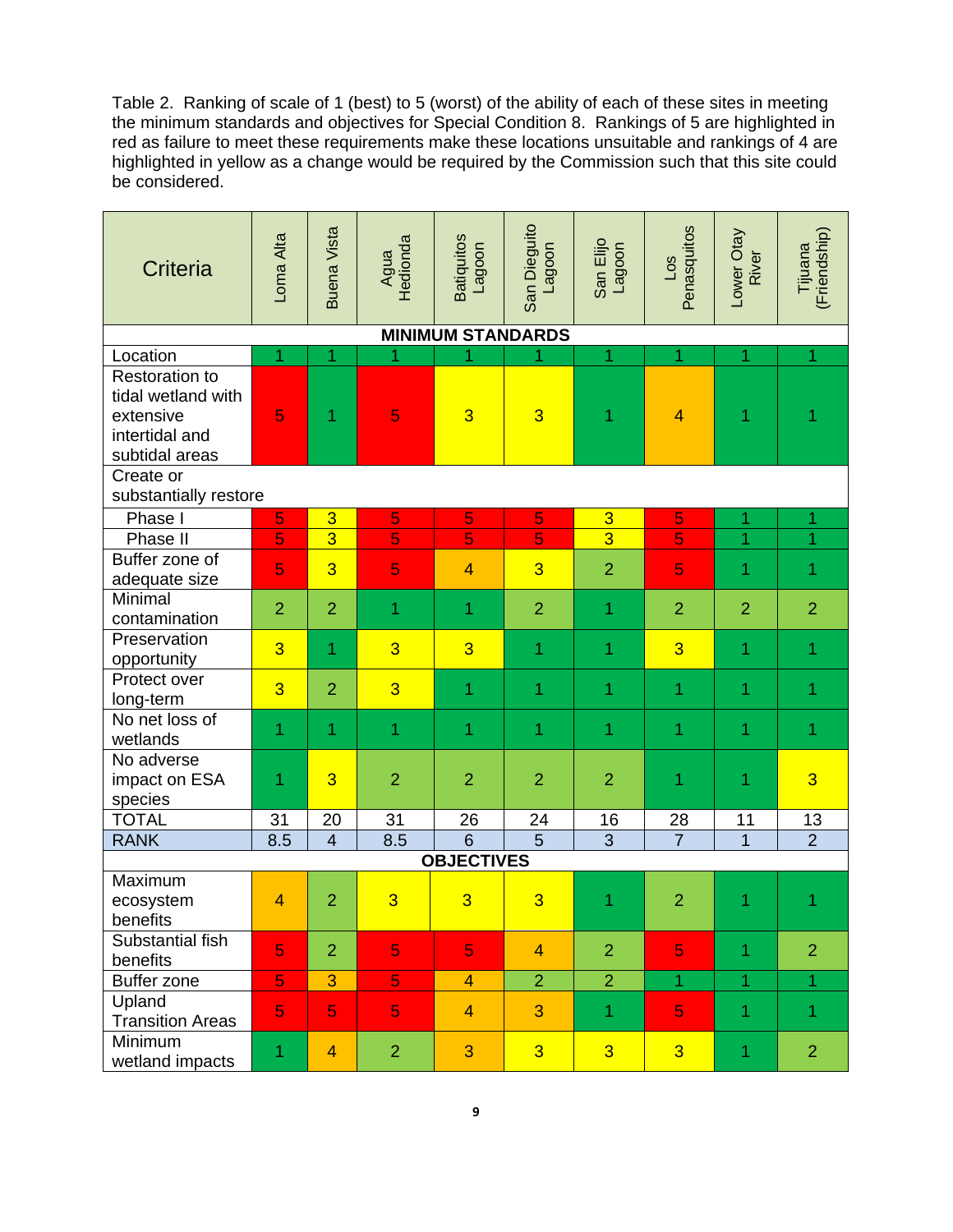Table 2. Ranking of scale of 1 (best) to 5 (worst) of the ability of each of these sites in meeting the minimum standards and objectives for Special Condition 8. Rankings of 5 are highlighted in red as failure to meet these requirements make these locations unsuitable and rankings of 4 are highlighted in yellow as a change would be required by the Commission such that this site could be considered.

| <b>Criteria</b>                                                                              | Loma Alta      | <b>Buena Vista</b> | Agua<br>Hedionda | <b>Batiquitos</b><br>Lagoon | San Dieguito<br>Lagoon | San Elijo<br>Lagoon | Penasquitos<br>$\overline{1}$ | Lower Otay<br>River | (Friendship)<br>Tijuana |  |  |
|----------------------------------------------------------------------------------------------|----------------|--------------------|------------------|-----------------------------|------------------------|---------------------|-------------------------------|---------------------|-------------------------|--|--|
| <b>MINIMUM STANDARDS</b>                                                                     |                |                    |                  |                             |                        |                     |                               |                     |                         |  |  |
| Location                                                                                     | 1              | 1                  | 1                |                             |                        | 1                   | 1                             | 1                   | 1                       |  |  |
| <b>Restoration to</b><br>tidal wetland with<br>extensive<br>intertidal and<br>subtidal areas | 5              | 1                  | 5                | $\overline{3}$              | $\overline{3}$         | 1                   | $\overline{\mathbf{4}}$       | 1                   |                         |  |  |
| Create or<br>substantially restore                                                           |                |                    |                  |                             |                        |                     |                               |                     |                         |  |  |
| Phase I                                                                                      | 5              | 3                  | 5                | 5                           | 5                      | $\overline{3}$      | 5                             | 1                   | 1                       |  |  |
| Phase II                                                                                     | 5              | $\overline{3}$     | 5                | 5                           | 5                      | $\overline{3}$      | 5                             | 1                   | 1                       |  |  |
| Buffer zone of<br>adequate size                                                              | 5              | $\overline{3}$     | 5                | $\overline{4}$              | $\overline{3}$         | $\overline{2}$      | 5                             | 1                   | 1                       |  |  |
| Minimal<br>contamination                                                                     | $\overline{2}$ | $\overline{2}$     | 1                | 1                           | $\overline{2}$         | 1                   | $\overline{2}$                | $\overline{2}$      | $\overline{2}$          |  |  |
| Preservation<br>opportunity                                                                  | $\overline{3}$ | 1                  | 3                | 3                           | 1                      | 1                   | $\overline{3}$                | 1                   | 1                       |  |  |
| Protect over<br>long-term                                                                    | $\overline{3}$ | $\overline{2}$     | 3                | 1                           | $\overline{1}$         | 1                   | 1                             | 1                   | 1                       |  |  |
| No net loss of<br>wetlands                                                                   | 1              | 1                  | 1                | 1                           | 1                      | 1                   | 1                             | 1                   | 1                       |  |  |
| No adverse<br>impact on ESA<br>species                                                       | 1              | $\overline{3}$     | $\overline{2}$   | $\overline{2}$              | $\overline{2}$         | $\overline{2}$      | 1                             | 1                   | $\overline{3}$          |  |  |
| <b>TOTAL</b>                                                                                 | 31             | 20                 | 31               | 26                          | 24                     | 16                  | 28                            | 11                  | 13                      |  |  |
| <b>RANK</b>                                                                                  | 8.5            | $\overline{4}$     | 8.5              | $\overline{6}$              | $\overline{5}$         | $\overline{3}$      | $\overline{7}$                | $\overline{1}$      | $\overline{2}$          |  |  |
| <b>OBJECTIVES</b>                                                                            |                |                    |                  |                             |                        |                     |                               |                     |                         |  |  |
| Maximum<br>ecosystem<br>benefits                                                             | $\overline{4}$ | $\overline{2}$     | 3                | 3                           | 3                      | 1                   | $\overline{\mathbf{c}}$       | 1                   | 1                       |  |  |
| Substantial fish<br>benefits                                                                 | 5              | $\overline{2}$     | 5                | 5                           | $\overline{4}$         | $\overline{2}$      | 5                             | 1                   | $\overline{2}$          |  |  |
| <b>Buffer zone</b>                                                                           | 5              | 3                  | 5                | $\overline{4}$              | $\overline{2}$         | $\overline{2}$      | $\mathbf{1}$                  | $\overline{1}$      | 1.                      |  |  |
| Upland<br><b>Transition Areas</b>                                                            | 5              | 5                  | 5                | $\overline{4}$              | 3                      | 1                   | 5                             | 1                   | $\mathbf{1}$            |  |  |
| Minimum<br>wetland impacts                                                                   | 1              | $\overline{4}$     | $\overline{2}$   | 3                           | $\overline{3}$         | $\overline{3}$      | $\overline{3}$                | 1                   | $\overline{2}$          |  |  |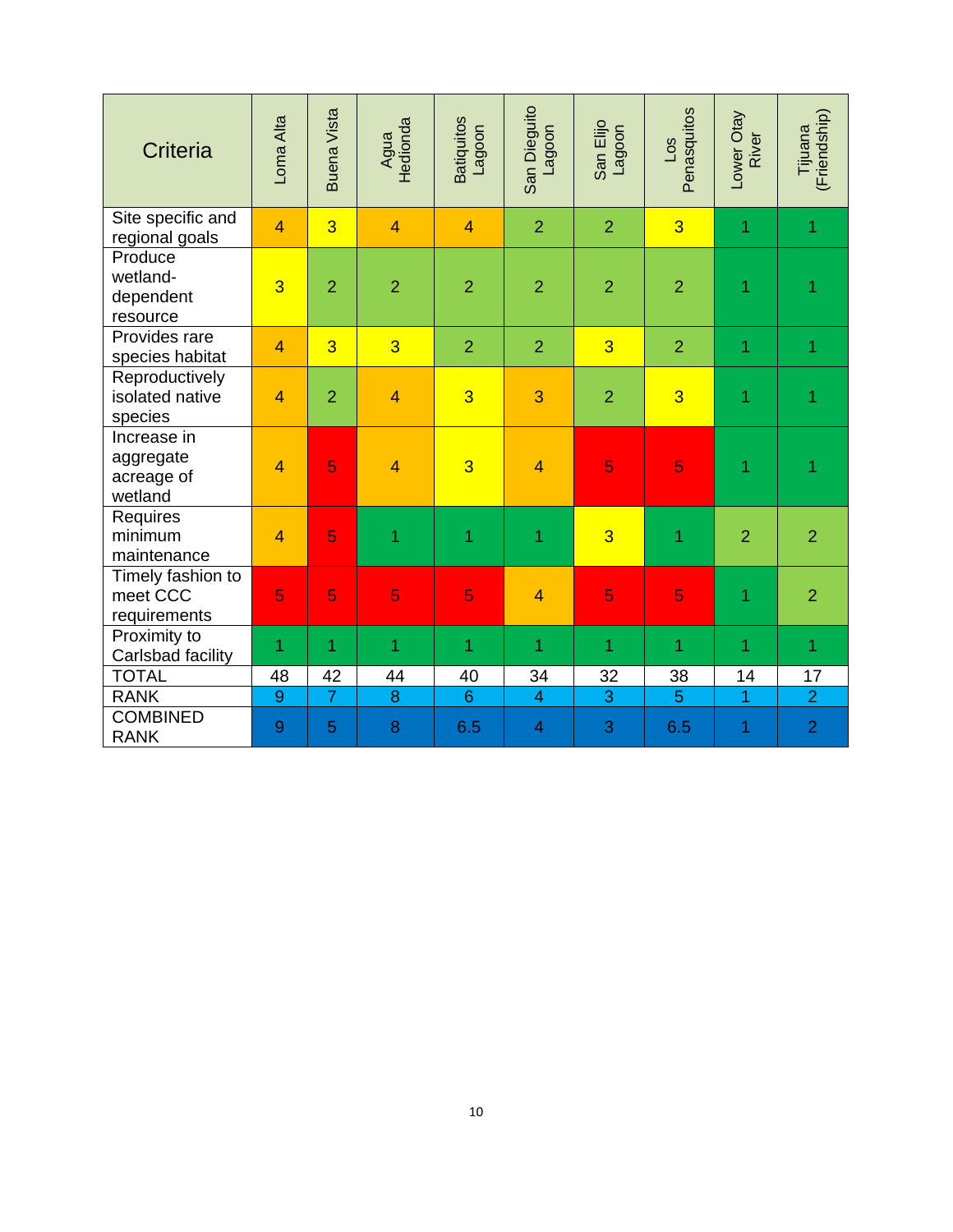| <b>Criteria</b>                                   | Loma Alta      | <b>Buena Vista</b> | Agua<br>Hedionda | <b>Batiquitos</b><br>noobe | San Dieguito<br>noobe | San Elijo<br>noobe | Penasquitos<br>20 <sub>1</sub> | Lower Otay<br>River | (Friendship)<br>Tijuana |
|---------------------------------------------------|----------------|--------------------|------------------|----------------------------|-----------------------|--------------------|--------------------------------|---------------------|-------------------------|
| Site specific and<br>regional goals               | $\overline{4}$ | $\overline{3}$     | $\overline{4}$   | $\overline{4}$             | $\overline{2}$        | $\overline{2}$     | 3                              | 1                   | 1                       |
| Produce<br>wetland-<br>dependent<br>resource      | $\overline{3}$ | $\overline{2}$     | $\overline{2}$   | $\overline{2}$             | $\overline{2}$        | $\overline{2}$     | $\overline{2}$                 | 1                   | 1                       |
| Provides rare<br>species habitat                  | $\overline{4}$ | $\overline{3}$     | $\overline{3}$   | $\overline{2}$             | $\overline{2}$        | $\overline{3}$     | $\overline{2}$                 | 1                   | 1                       |
| Reproductively<br>isolated native<br>species      | $\overline{4}$ | $\overline{2}$     | $\overline{4}$   | $\overline{3}$             | 3                     | $\overline{2}$     | $\overline{3}$                 | 1                   | 1                       |
| Increase in<br>aggregate<br>acreage of<br>wetland | $\overline{4}$ | 5                  | $\overline{4}$   | $\overline{3}$             | $\overline{4}$        | 5                  | 5                              | 1                   | 1                       |
| Requires<br>minimum<br>maintenance                | $\overline{4}$ | 5                  | 1                | 1                          | 1                     | $\overline{3}$     | 1                              | $\overline{2}$      | $\overline{2}$          |
| Timely fashion to<br>meet CCC<br>requirements     | 5              | 5                  | 5                | 5                          | $\overline{4}$        | 5                  | 5                              | 1                   | $\overline{2}$          |
| Proximity to<br>Carlsbad facility                 | 1              | 1                  | 1                | 1                          | 1                     | 1                  | 1                              | 1                   | 1                       |
| <b>TOTAL</b>                                      | 48             | 42                 | 44               | 40                         | 34                    | 32                 | 38                             | 14                  | 17                      |
| <b>RANK</b>                                       | 9              | $\overline{7}$     | 8                | $6\phantom{1}$             | $\overline{4}$        | 3                  | 5                              | 1                   | $\overline{2}$          |
| <b>COMBINED</b><br><b>RANK</b>                    | 9              | 5                  | 8                | 6.5                        | $\overline{4}$        | 3                  | 6.5                            | 1                   | $\overline{2}$          |